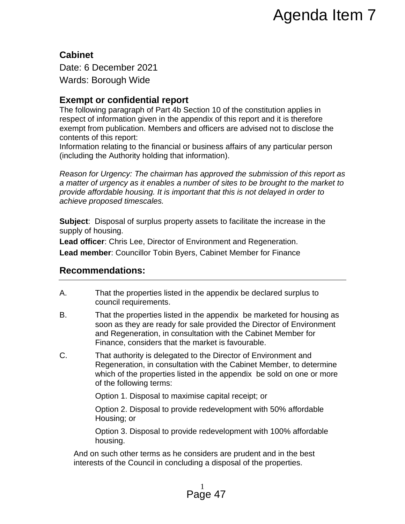# **Cabinet**

Date: 6 December 2021 Wards: Borough Wide

### **Exempt or confidential report**

The following paragraph of Part 4b Section 10 of the constitution applies in respect of information given in the appendix of this report and it is therefore exempt from publication. Members and officers are advised not to disclose the contents of this report:

Information relating to the financial or business affairs of any particular person (including the Authority holding that information).

*Reason for Urgency: The chairman has approved the submission of this report as a matter of urgency as it enables a number of sites to be brought to the market to provide affordable housing. It is important that this is not delayed in order to achieve proposed timescales.* **Agenda Item 7**<br> **Page 41**<br> **Page 47**<br> **Page 47**<br> **Page 47**<br> **Page 47**<br> **Page 47**<br> **Page 47**<br> **Page 47**<br> **Page 47**<br> **Page 47**<br> **Page 47**<br> **Page 47**<br> **Page 47**<br> **Page 47**<br> **Page 47**<br> **Page 47**<br> **Page 47**<br> **Page 47**<br> **Page 4** 

**Subject**: Disposal of surplus property assets to facilitate the increase in the supply of housing.

**Lead officer**: Chris Lee, Director of Environment and Regeneration.

**Lead member**: Councillor Tobin Byers, Cabinet Member for Finance

#### **Recommendations:**

- A. That the properties listed in the appendix be declared surplus to council requirements.
- B. That the properties listed in the appendix be marketed for housing as soon as they are ready for sale provided the Director of Environment and Regeneration, in consultation with the Cabinet Member for Finance, considers that the market is favourable.
- C. That authority is delegated to the Director of Environment and Regeneration, in consultation with the Cabinet Member, to determine which of the properties listed in the appendix be sold on one or more of the following terms:

Option 1. Disposal to maximise capital receipt; or

Option 2. Disposal to provide redevelopment with 50% affordable Housing; or

Option 3. Disposal to provide redevelopment with 100% affordable housing.

And on such other terms as he considers are prudent and in the best interests of the Council in concluding a disposal of the properties.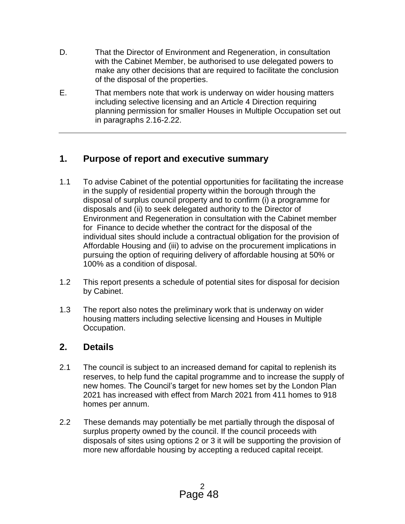- D. That the Director of Environment and Regeneration, in consultation with the Cabinet Member, be authorised to use delegated powers to make any other decisions that are required to facilitate the conclusion of the disposal of the properties.
- E. That members note that work is underway on wider housing matters including selective licensing and an Article 4 Direction requiring planning permission for smaller Houses in Multiple Occupation set out in paragraphs 2.16-2.22.

# **1. Purpose of report and executive summary**

- 1.1 To advise Cabinet of the potential opportunities for facilitating the increase in the supply of residential property within the borough through the disposal of surplus council property and to confirm (i) a programme for disposals and (ii) to seek delegated authority to the Director of Environment and Regeneration in consultation with the Cabinet member for Finance to decide whether the contract for the disposal of the individual sites should include a contractual obligation for the provision of Affordable Housing and (iii) to advise on the procurement implications in pursuing the option of requiring delivery of affordable housing at 50% or 100% as a condition of disposal.
- 1.2 This report presents a schedule of potential sites for disposal for decision by Cabinet.
- 1.3 The report also notes the preliminary work that is underway on wider housing matters including selective licensing and Houses in Multiple Occupation.

### **2. Details**

- 2.1 The council is subject to an increased demand for capital to replenish its reserves, to help fund the capital programme and to increase the supply of new homes. The Council's target for new homes set by the London Plan 2021 has increased with effect from March 2021 from 411 homes to 918 homes per annum.
- 2.2 These demands may potentially be met partially through the disposal of surplus property owned by the council. If the council proceeds with disposals of sites using options 2 or 3 it will be supporting the provision of more new affordable housing by accepting a reduced capital receipt.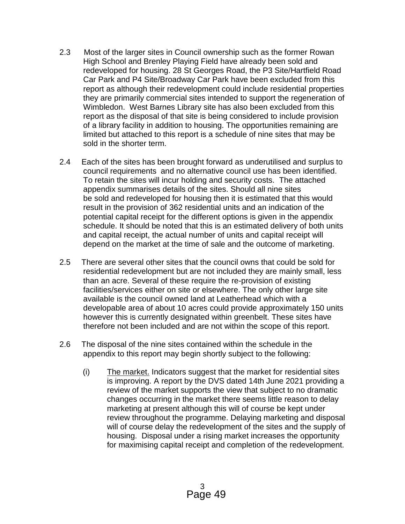- 2.3 Most of the larger sites in Council ownership such as the former Rowan High School and Brenley Playing Field have already been sold and redeveloped for housing. 28 St Georges Road, the P3 Site/Hartfield Road Car Park and P4 Site/Broadway Car Park have been excluded from this report as although their redevelopment could include residential properties they are primarily commercial sites intended to support the regeneration of Wimbledon. West Barnes Library site has also been excluded from this report as the disposal of that site is being considered to include provision of a library facility in addition to housing. The opportunities remaining are limited but attached to this report is a schedule of nine sites that may be sold in the shorter term.
- 2.4 Each of the sites has been brought forward as underutilised and surplus to council requirements and no alternative council use has been identified. To retain the sites will incur holding and security costs. The attached appendix summarises details of the sites. Should all nine sites be sold and redeveloped for housing then it is estimated that this would result in the provision of 362 residential units and an indication of the potential capital receipt for the different options is given in the appendix schedule. It should be noted that this is an estimated delivery of both units and capital receipt, the actual number of units and capital receipt will depend on the market at the time of sale and the outcome of marketing.
- 2.5 There are several other sites that the council owns that could be sold for residential redevelopment but are not included they are mainly small, less than an acre. Several of these require the re-provision of existing facilities/services either on site or elsewhere. The only other large site available is the council owned land at Leatherhead which with a developable area of about 10 acres could provide approximately 150 units however this is currently designated within greenbelt. These sites have therefore not been included and are not within the scope of this report.
- 2.6 The disposal of the nine sites contained within the schedule in the appendix to this report may begin shortly subject to the following:
	- (i) The market. Indicators suggest that the market for residential sites is improving. A report by the DVS dated 14th June 2021 providing a review of the market supports the view that subject to no dramatic changes occurring in the market there seems little reason to delay marketing at present although this will of course be kept under review throughout the programme. Delaying marketing and disposal will of course delay the redevelopment of the sites and the supply of housing. Disposal under a rising market increases the opportunity for maximising capital receipt and completion of the redevelopment.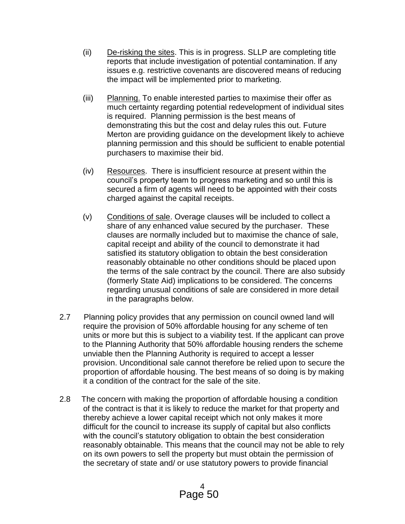- (ii) De-risking the sites. This is in progress. SLLP are completing title reports that include investigation of potential contamination. If any issues e.g. restrictive covenants are discovered means of reducing the impact will be implemented prior to marketing.
- (iii) Planning. To enable interested parties to maximise their offer as much certainty regarding potential redevelopment of individual sites is required. Planning permission is the best means of demonstrating this but the cost and delay rules this out. Future Merton are providing guidance on the development likely to achieve planning permission and this should be sufficient to enable potential purchasers to maximise their bid.
- (iv) Resources. There is insufficient resource at present within the council's property team to progress marketing and so until this is secured a firm of agents will need to be appointed with their costs charged against the capital receipts.
- (v) Conditions of sale. Overage clauses will be included to collect a share of any enhanced value secured by the purchaser. These clauses are normally included but to maximise the chance of sale, capital receipt and ability of the council to demonstrate it had satisfied its statutory obligation to obtain the best consideration reasonably obtainable no other conditions should be placed upon the terms of the sale contract by the council. There are also subsidy (formerly State Aid) implications to be considered. The concerns regarding unusual conditions of sale are considered in more detail in the paragraphs below.
- 2.7 Planning policy provides that any permission on council owned land will require the provision of 50% affordable housing for any scheme of ten units or more but this is subject to a viability test. If the applicant can prove to the Planning Authority that 50% affordable housing renders the scheme unviable then the Planning Authority is required to accept a lesser provision. Unconditional sale cannot therefore be relied upon to secure the proportion of affordable housing. The best means of so doing is by making it a condition of the contract for the sale of the site.
- 2.8 The concern with making the proportion of affordable housing a condition of the contract is that it is likely to reduce the market for that property and thereby achieve a lower capital receipt which not only makes it more difficult for the council to increase its supply of capital but also conflicts with the council's statutory obligation to obtain the best consideration reasonably obtainable. This means that the council may not be able to rely on its own powers to sell the property but must obtain the permission of the secretary of state and/ or use statutory powers to provide financial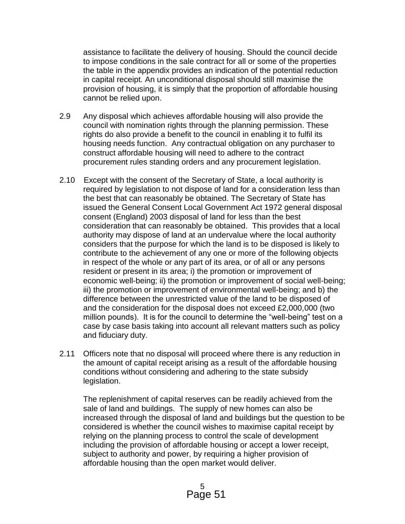assistance to facilitate the delivery of housing. Should the council decide to impose conditions in the sale contract for all or some of the properties the table in the appendix provides an indication of the potential reduction in capital receipt. An unconditional disposal should still maximise the provision of housing, it is simply that the proportion of affordable housing cannot be relied upon.

- 2.9 Any disposal which achieves affordable housing will also provide the council with nomination rights through the planning permission. These rights do also provide a benefit to the council in enabling it to fulfil its housing needs function. Any contractual obligation on any purchaser to construct affordable housing will need to adhere to the contract procurement rules standing orders and any procurement legislation.
- 2.10 Except with the consent of the Secretary of State, a local authority is required by legislation to not dispose of land for a consideration less than the best that can reasonably be obtained. The Secretary of State has issued the General Consent Local Government Act 1972 general disposal consent (England) 2003 disposal of land for less than the best consideration that can reasonably be obtained. This provides that a local authority may dispose of land at an undervalue where the local authority considers that the purpose for which the land is to be disposed is likely to contribute to the achievement of any one or more of the following objects in respect of the whole or any part of its area, or of all or any persons resident or present in its area; i) the promotion or improvement of economic well-being; ii) the promotion or improvement of social well-being; iii) the promotion or improvement of environmental well-being; and b) the difference between the unrestricted value of the land to be disposed of and the consideration for the disposal does not exceed £2,000,000 (two million pounds). It is for the council to determine the "well-being" test on a case by case basis taking into account all relevant matters such as policy and fiduciary duty.
- 2.11 Officers note that no disposal will proceed where there is any reduction in the amount of capital receipt arising as a result of the affordable housing conditions without considering and adhering to the state subsidy legislation.

The replenishment of capital reserves can be readily achieved from the sale of land and buildings. The supply of new homes can also be increased through the disposal of land and buildings but the question to be considered is whether the council wishes to maximise capital receipt by relying on the planning process to control the scale of development including the provision of affordable housing or accept a lower receipt, subject to authority and power, by requiring a higher provision of affordable housing than the open market would deliver.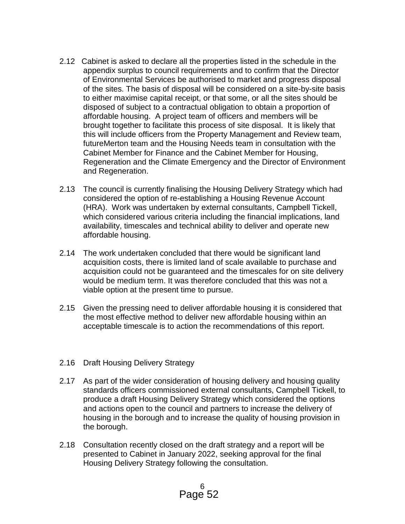- 2.12 Cabinet is asked to declare all the properties listed in the schedule in the appendix surplus to council requirements and to confirm that the Director of Environmental Services be authorised to market and progress disposal of the sites. The basis of disposal will be considered on a site-by-site basis to either maximise capital receipt, or that some, or all the sites should be disposed of subject to a contractual obligation to obtain a proportion of affordable housing. A project team of officers and members will be brought together to facilitate this process of site disposal. It is likely that this will include officers from the Property Management and Review team, futureMerton team and the Housing Needs team in consultation with the Cabinet Member for Finance and the Cabinet Member for Housing, Regeneration and the Climate Emergency and the Director of Environment and Regeneration.
- 2.13 The council is currently finalising the Housing Delivery Strategy which had considered the option of re-establishing a Housing Revenue Account (HRA). Work was undertaken by external consultants, Campbell Tickell, which considered various criteria including the financial implications, land availability, timescales and technical ability to deliver and operate new affordable housing.
- 2.14 The work undertaken concluded that there would be significant land acquisition costs, there is limited land of scale available to purchase and acquisition could not be guaranteed and the timescales for on site delivery would be medium term. It was therefore concluded that this was not a viable option at the present time to pursue.
- 2.15 Given the pressing need to deliver affordable housing it is considered that the most effective method to deliver new affordable housing within an acceptable timescale is to action the recommendations of this report.
- 2.16 Draft Housing Delivery Strategy
- 2.17 As part of the wider consideration of housing delivery and housing quality standards officers commissioned external consultants, Campbell Tickell, to produce a draft Housing Delivery Strategy which considered the options and actions open to the council and partners to increase the delivery of housing in the borough and to increase the quality of housing provision in the borough.
- 2.18 Consultation recently closed on the draft strategy and a report will be presented to Cabinet in January 2022, seeking approval for the final Housing Delivery Strategy following the consultation.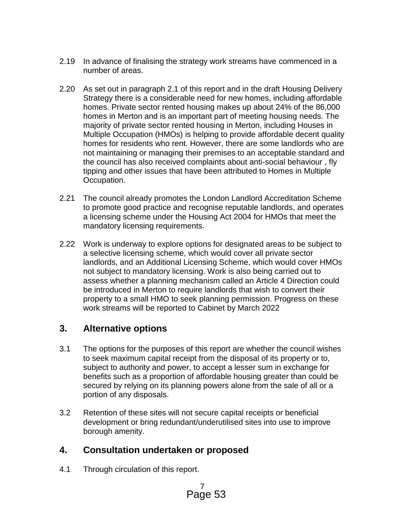- 2.19 In advance of finalising the strategy work streams have commenced in a number of areas.
- 2.20 As set out in paragraph 2.1 of this report and in the draft Housing Delivery Strategy there is a considerable need for new homes, including affordable homes. Private sector rented housing makes up about 24% of the 86,000 homes in Merton and is an important part of meeting housing needs. The majority of private sector rented housing in Merton, including Houses in Multiple Occupation (HMOs) is helping to provide affordable decent quality homes for residents who rent. However, there are some landlords who are not maintaining or managing their premises to an acceptable standard and the council has also received complaints about anti-social behaviour , fly tipping and other issues that have been attributed to Homes in Multiple Occupation.
- 2.21 The council already promotes the London Landlord Accreditation Scheme to promote good practice and recognise reputable landlords, and operates a licensing scheme under the Housing Act 2004 for HMOs that meet the mandatory licensing requirements.
- 2.22 Work is underway to explore options for designated areas to be subject to a selective licensing scheme, which would cover all private sector landlords, and an Additional Licensing Scheme, which would cover HMOs not subject to mandatory licensing. Work is also being carried out to assess whether a planning mechanism called an Article 4 Direction could be introduced in Merton to require landlords that wish to convert their property to a small HMO to seek planning permission. Progress on these work streams will be reported to Cabinet by March 2022

### **3. Alternative options**

- 3.1 The options for the purposes of this report are whether the council wishes to seek maximum capital receipt from the disposal of its property or to, subject to authority and power, to accept a lesser sum in exchange for benefits such as a proportion of affordable housing greater than could be secured by relying on its planning powers alone from the sale of all or a portion of any disposals.
- 3.2 Retention of these sites will not secure capital receipts or beneficial development or bring redundant/underutilised sites into use to improve borough amenity.

### **4. Consultation undertaken or proposed**

4.1 Through circulation of this report.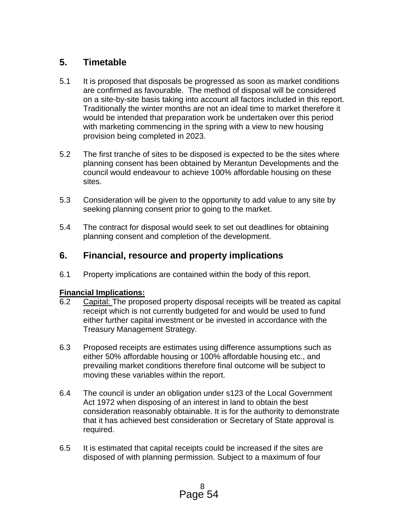## **5. Timetable**

- 5.1 It is proposed that disposals be progressed as soon as market conditions are confirmed as favourable. The method of disposal will be considered on a site-by-site basis taking into account all factors included in this report. Traditionally the winter months are not an ideal time to market therefore it would be intended that preparation work be undertaken over this period with marketing commencing in the spring with a view to new housing provision being completed in 2023.
- 5.2 The first tranche of sites to be disposed is expected to be the sites where planning consent has been obtained by Merantun Developments and the council would endeavour to achieve 100% affordable housing on these sites.
- 5.3 Consideration will be given to the opportunity to add value to any site by seeking planning consent prior to going to the market.
- 5.4 The contract for disposal would seek to set out deadlines for obtaining planning consent and completion of the development.

#### **6. Financial, resource and property implications**

6.1 Property implications are contained within the body of this report.

#### **Financial Implications:**

- 6.2 Capital: The proposed property disposal receipts will be treated as capital receipt which is not currently budgeted for and would be used to fund either further capital investment or be invested in accordance with the Treasury Management Strategy.
- 6.3 Proposed receipts are estimates using difference assumptions such as either 50% affordable housing or 100% affordable housing etc., and prevailing market conditions therefore final outcome will be subject to moving these variables within the report.
- 6.4 The council is under an obligation under s123 of the Local Government Act 1972 when disposing of an interest in land to obtain the best consideration reasonably obtainable. It is for the authority to demonstrate that it has achieved best consideration or Secretary of State approval is required.
- 6.5 It is estimated that capital receipts could be increased if the sites are disposed of with planning permission. Subject to a maximum of four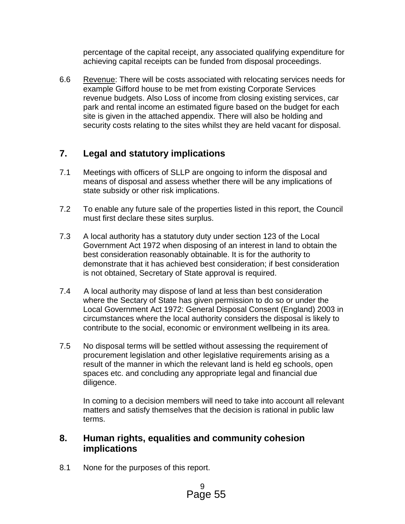percentage of the capital receipt, any associated qualifying expenditure for achieving capital receipts can be funded from disposal proceedings.

6.6 Revenue: There will be costs associated with relocating services needs for example Gifford house to be met from existing Corporate Services revenue budgets. Also Loss of income from closing existing services, car park and rental income an estimated figure based on the budget for each site is given in the attached appendix. There will also be holding and security costs relating to the sites whilst they are held vacant for disposal.

### **7. Legal and statutory implications**

- 7.1 Meetings with officers of SLLP are ongoing to inform the disposal and means of disposal and assess whether there will be any implications of state subsidy or other risk implications.
- 7.2 To enable any future sale of the properties listed in this report, the Council must first declare these sites surplus.
- 7.3 A local authority has a statutory duty under section 123 of the Local Government Act 1972 when disposing of an interest in land to obtain the best consideration reasonably obtainable. It is for the authority to demonstrate that it has achieved best consideration; if best consideration is not obtained, Secretary of State approval is required.
- 7.4 A local authority may dispose of land at less than best consideration where the Sectary of State has given permission to do so or under the Local Government Act 1972: General Disposal Consent (England) 2003 in circumstances where the local authority considers the disposal is likely to contribute to the social, economic or environment wellbeing in its area.
- 7.5 No disposal terms will be settled without assessing the requirement of procurement legislation and other legislative requirements arising as a result of the manner in which the relevant land is held eg schools, open spaces etc. and concluding any appropriate legal and financial due diligence.

In coming to a decision members will need to take into account all relevant matters and satisfy themselves that the decision is rational in public law terms.

#### **8. Human rights, equalities and community cohesion implications**

8.1 None for the purposes of this report.